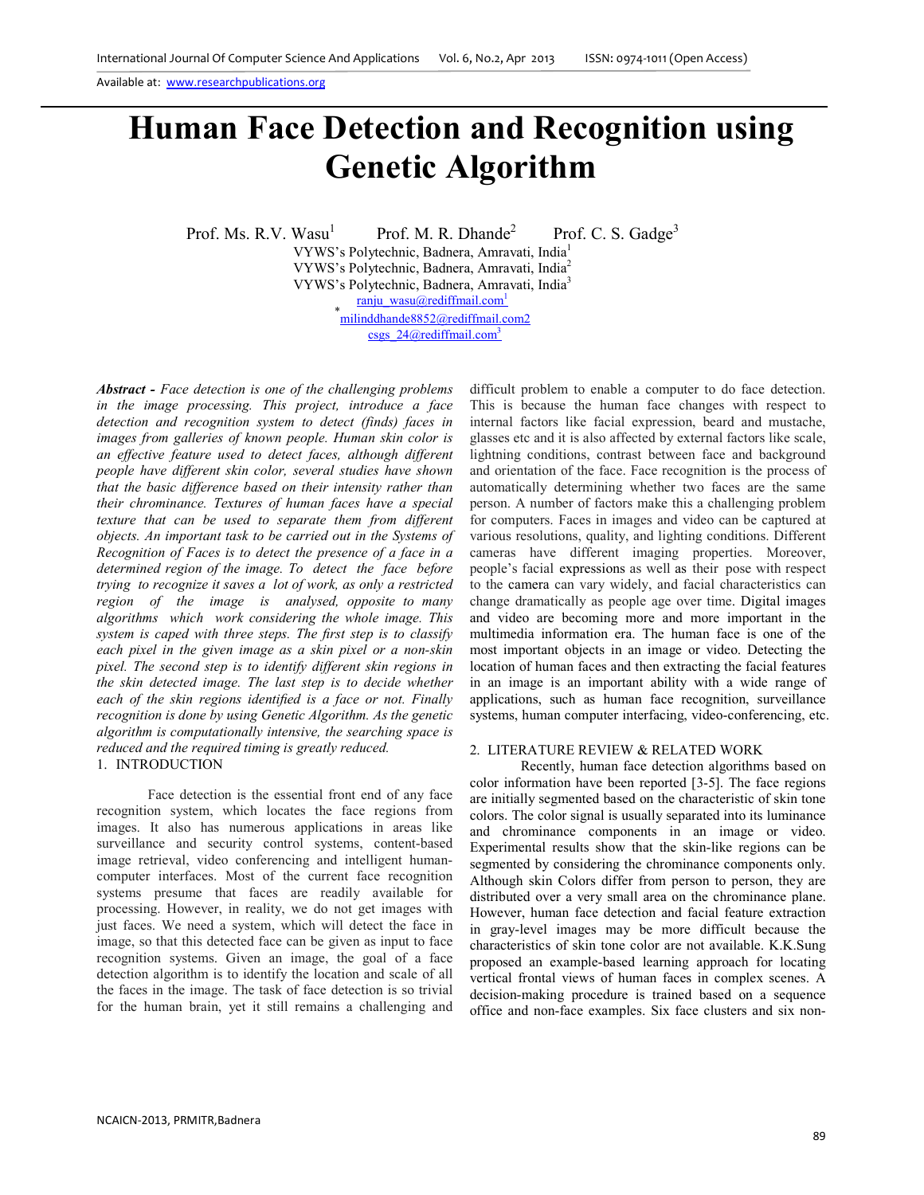Available at: www.researchpublications.org

# **Human Face Detection and Recognition using Genetic Algorithm**

Prof. Ms. R.V. Wasu<sup>1</sup> Prof. M. R. Dhande<sup>2</sup> Prof. C. S. Gadge<sup>3</sup>

VYWS's Polytechnic, Badnera, Amravati, India<sup>1</sup> VYWS's Polytechnic, Badnera, Amravati, India<sup>2</sup> VYWS's Polytechnic, Badnera, Amravati, India<sup>3</sup> ranju\_wasu@rediffmail.com<sup>1</sup> \* milinddhande8852@rediffmail.com2 csgs  $24$ @rediffmail.com<sup>3</sup>

*Abstract - Face detection is one of the challenging problems in the image processing. This project, introduce a face detection and recognition system to detect (finds) faces in images from galleries of known people. Human skin color is an effective feature used to detect faces, although different people have different skin color, several studies have shown that the basic difference based on their intensity rather than their chrominance. Textures of human faces have a special texture that can be used to separate them from different objects. An important task to be carried out in the Systems of Recognition of Faces is to detect the presence of a face in a determined region of the image. To detect the face before trying to recognize it saves a lot of work, as only a restricted region of the image is analysed, opposite to many algorithms which work considering the whole image. This system is caped with three steps. The first step is to classify each pixel in the given image as a skin pixel or a non-skin pixel. The second step is to identify different skin regions in the skin detected image. The last step is to decide whether each of the skin regions identified is a face or not. Finally recognition is done by using Genetic Algorithm. As the genetic algorithm is computationally intensive, the searching space is reduced and the required timing is greatly reduced.* 1. INTRODUCTION

Face detection is the essential front end of any face recognition system, which locates the face regions from images. It also has numerous applications in areas like surveillance and security control systems, content-based image retrieval, video conferencing and intelligent humancomputer interfaces. Most of the current face recognition systems presume that faces are readily available for processing. However, in reality, we do not get images with just faces. We need a system, which will detect the face in image, so that this detected face can be given as input to face recognition systems. Given an image, the goal of a face detection algorithm is to identify the location and scale of all the faces in the image. The task of face detection is so trivial for the human brain, yet it still remains a challenging and

difficult problem to enable a computer to do face detection. This is because the human face changes with respect to internal factors like facial expression, beard and mustache, glasses etc and it is also affected by external factors like scale, lightning conditions, contrast between face and background and orientation of the face. Face recognition is the process of automatically determining whether two faces are the same person. A number of factors make this a challenging problem for computers. Faces in images and video can be captured at various resolutions, quality, and lighting conditions. Different cameras have different imaging properties. Moreover, people's facial expressions as well as their pose with respect to the camera can vary widely, and facial characteristics can change dramatically as people age over time. Digital images and video are becoming more and more important in the multimedia information era. The human face is one of the most important objects in an image or video. Detecting the location of human faces and then extracting the facial features in an image is an important ability with a wide range of applications, such as human face recognition, surveillance systems, human computer interfacing, video-conferencing, etc.

#### 2.LITERATURE REVIEW & RELATED WORK

Recently, human face detection algorithms based on color information have been reported [3-5]. The face regions are initially segmented based on the characteristic of skin tone colors. The color signal is usually separated into its luminance and chrominance components in an image or video. Experimental results show that the skin-like regions can be segmented by considering the chrominance components only. Although skin Colors differ from person to person, they are distributed over a very small area on the chrominance plane. However, human face detection and facial feature extraction in gray-level images may be more difficult because the characteristics of skin tone color are not available. K.K.Sung proposed an example-based learning approach for locating vertical frontal views of human faces in complex scenes. A decision-making procedure is trained based on a sequence office and non-face examples. Six face clusters and six non-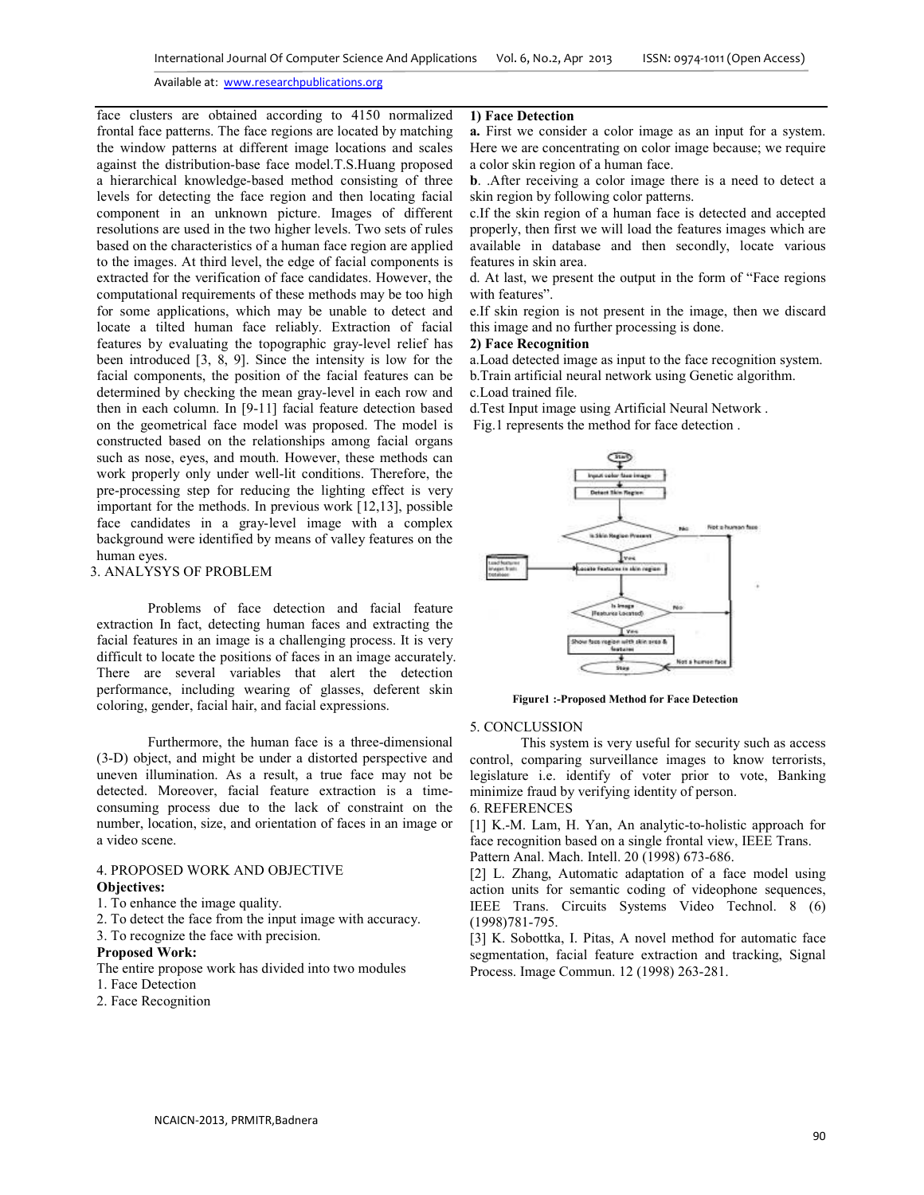#### Available at: www.researchpublications.org

face clusters are obtained according to 4150 normalized frontal face patterns. The face regions are located by matching the window patterns at different image locations and scales against the distribution-base face model.T.S.Huang proposed a hierarchical knowledge-based method consisting of three levels for detecting the face region and then locating facial component in an unknown picture. Images of different resolutions are used in the two higher levels. Two sets of rules based on the characteristics of a human face region are applied to the images. At third level, the edge of facial components is extracted for the verification of face candidates. However, the computational requirements of these methods may be too high for some applications, which may be unable to detect and locate a tilted human face reliably. Extraction of facial features by evaluating the topographic gray-level relief has been introduced [3, 8, 9]. Since the intensity is low for the facial components, the position of the facial features can be determined by checking the mean gray-level in each row and then in each column. In [9-11] facial feature detection based on the geometrical face model was proposed. The model is constructed based on the relationships among facial organs such as nose, eyes, and mouth. However, these methods can work properly only under well-lit conditions. Therefore, the pre-processing step for reducing the lighting effect is very important for the methods. In previous work [12,13], possible face candidates in a gray-level image with a complex background were identified by means of valley features on the human eyes.

#### 3. ANALYSYS OF PROBLEM

 Problems of face detection and facial feature extraction In fact, detecting human faces and extracting the facial features in an image is a challenging process. It is very difficult to locate the positions of faces in an image accurately. There are several variables that alert the detection performance, including wearing of glasses, deferent skin coloring, gender, facial hair, and facial expressions.

 Furthermore, the human face is a three-dimensional (3-D) object, and might be under a distorted perspective and uneven illumination. As a result, a true face may not be detected. Moreover, facial feature extraction is a timeconsuming process due to the lack of constraint on the number, location, size, and orientation of faces in an image or a video scene.

## 4. PROPOSED WORK AND OBJECTIVE **Objectives:**

- 1. To enhance the image quality.
- 2. To detect the face from the input image with accuracy.
- 3. To recognize the face with precision.

## **Proposed Work:**

- The entire propose work has divided into two modules
- 1. Face Detection
- 2. Face Recognition

## **1) Face Detection**

**a.** First we consider a color image as an input for a system. Here we are concentrating on color image because; we require a color skin region of a human face.

**b**. .After receiving a color image there is a need to detect a skin region by following color patterns.

c.If the skin region of a human face is detected and accepted properly, then first we will load the features images which are available in database and then secondly, locate various features in skin area.

d. At last, we present the output in the form of "Face regions with features".

e.If skin region is not present in the image, then we discard this image and no further processing is done.

# **2) Face Recognition**

a.Load detected image as input to the face recognition system. b.Train artificial neural network using Genetic algorithm.

c.Load trained file.

d.Test Input image using Artificial Neural Network .

Fig.1 represents the method for face detection .



 **Figure1 :-Proposed Method for Face Detection** 

#### 5. CONCLUSSION

This system is very useful for security such as access control, comparing surveillance images to know terrorists, legislature i.e. identify of voter prior to vote, Banking minimize fraud by verifying identity of person.

6. REFERENCES

[1] K.-M. Lam, H. Yan, An analytic-to-holistic approach for face recognition based on a single frontal view, IEEE Trans. Pattern Anal. Mach. Intell. 20 (1998) 673-686.

[2] L. Zhang, Automatic adaptation of a face model using action units for semantic coding of videophone sequences,

IEEE Trans. Circuits Systems Video Technol. 8 (6) (1998)781-795.

[3] K. Sobottka, I. Pitas, A novel method for automatic face segmentation, facial feature extraction and tracking, Signal Process. Image Commun. 12 (1998) 263-281.